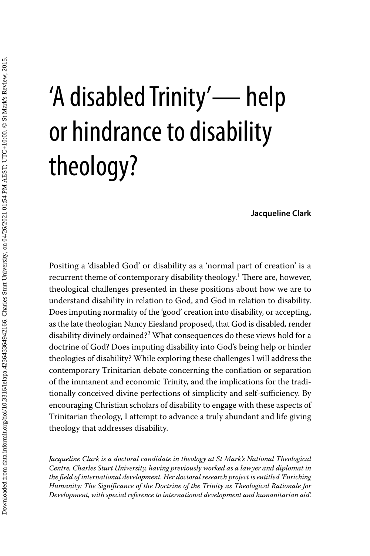# 'A disabled Trinity'— help or hindrance to disability theology?

**Jacqueline Clark**

Positing a 'disabled God' or disability as a 'normal part of creation' is a recurrent theme of contemporary disability theology.<sup>1</sup> There are, however, theological challenges presented in these positions about how we are to understand disability in relation to God, and God in relation to disability. Does imputing normality of the 'good' creation into disability, or accepting, as the late theologian Nancy Eiesland proposed, that God is disabled, render disability divinely ordained?2 What consequences do these views hold for a doctrine of God? Does imputing disability into God's being help or hinder theologies of disability? While exploring these challenges I will address the contemporary Trinitarian debate concerning the conflation or separation of the immanent and economic Trinity, and the implications for the traditionally conceived divine perfections of simplicity and self-sufficiency. By encouraging Christian scholars of disability to engage with these aspects of Trinitarian theology, I attempt to advance a truly abundant and life giving theology that addresses disability.

*Jacqueline Clark is a doctoral candidate in theology at St Mark's National Theological Centre, Charles Sturt University, having previously worked as a lawyer and diplomat in the field of international development. Her doctoral research project is entitled 'Enriching Humanity: The Significance of the Doctrine of the Trinity as Theological Rationale for Development, with special reference to international development and humanitarian aid'.*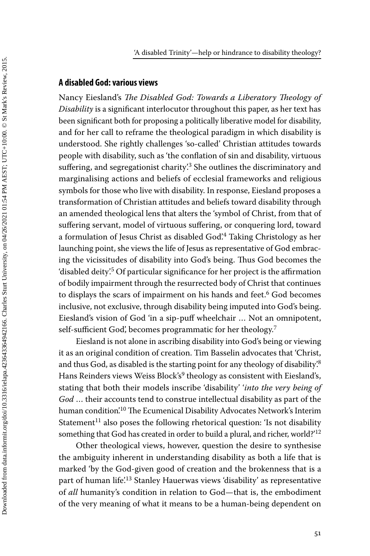### **A disabled God: various views**

Nancy Eiesland's *The Disabled God: Towards a Liberatory Theology of Disability* is a significant interlocutor throughout this paper, as her text has been significant both for proposing a politically liberative model for disability, and for her call to reframe the theological paradigm in which disability is understood. She rightly challenges 'so-called' Christian attitudes towards people with disability, such as 'the conflation of sin and disability, virtuous suffering, and segregationist charity.<sup>3</sup> She outlines the discriminatory and marginalising actions and beliefs of ecclesial frameworks and religious symbols for those who live with disability. In response, Eiesland proposes a transformation of Christian attitudes and beliefs toward disability through an amended theological lens that alters the 'symbol of Christ, from that of suffering servant, model of virtuous suffering, or conquering lord, toward a formulation of Jesus Christ as disabled God'.4 Taking Christology as her launching point, she views the life of Jesus as representative of God embracing the vicissitudes of disability into God's being. Thus God becomes the 'disabled deity'.5 Of particular significance for her project is the affirmation of bodily impairment through the resurrected body of Christ that continues to displays the scars of impairment on his hands and feet.<sup>6</sup> God becomes inclusive, not exclusive, through disability being imputed into God's being. Eiesland's vision of God 'in a sip-puff wheelchair … Not an omnipotent, self-sufficient God', becomes programmatic for her theology.<sup>7</sup>

Eiesland is not alone in ascribing disability into God's being or viewing it as an original condition of creation. Tim Basselin advocates that 'Christ, and thus God, as disabled is the starting point for any theology of disability.<sup>8</sup> Hans Reinders views Weiss Block's<sup>9</sup> theology as consistent with Eiesland's, stating that both their models inscribe 'disability' '*into the very being of God* … their accounts tend to construe intellectual disability as part of the human condition.<sup>10</sup> The Ecumenical Disability Advocates Network's Interim Statement<sup>11</sup> also poses the following rhetorical question: 'Is not disability something that God has created in order to build a plural, and richer, world?'<sup>12</sup>

Other theological views, however, question the desire to synthesise the ambiguity inherent in understanding disability as both a life that is marked 'by the God-given good of creation and the brokenness that is a part of human life.<sup>13</sup> Stanley Hauerwas views 'disability' as representative of *all* humanity's condition in relation to God—that is, the embodiment of the very meaning of what it means to be a human-being dependent on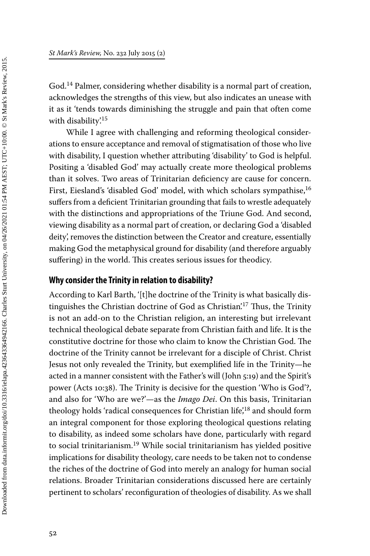Downloaded from data.informit.org/doi/10.3316/ielapa.423643364942166. Charles Sturt University, on 04/26/2021 01:54 PM AEST; UTC+10:00. © St Mark's Review, 2015. Downloaded from data.informit.org/doi/10.3316/ielapa.423643364942166. Charles Sturt University, on 04/26/2021 01:54 PM AEST; UTC+10:00. © St Mark's Review, 2015.

God.14 Palmer, considering whether disability is a normal part of creation, acknowledges the strengths of this view, but also indicates an unease with it as it 'tends towards diminishing the struggle and pain that often come with disability'.<sup>15</sup>

While I agree with challenging and reforming theological considerations to ensure acceptance and removal of stigmatisation of those who live with disability, I question whether attributing 'disability' to God is helpful. Positing a 'disabled God' may actually create more theological problems than it solves. Two areas of Trinitarian deficiency are cause for concern. First, Eiesland's 'disabled God' model, with which scholars sympathise,<sup>16</sup> suffers from a deficient Trinitarian grounding that fails to wrestle adequately with the distinctions and appropriations of the Triune God. And second, viewing disability as a normal part of creation, or declaring God a 'disabled deity', removes the distinction between the Creator and creature, essentially making God the metaphysical ground for disability (and therefore arguably suffering) in the world. This creates serious issues for theodicy.

## **Why consider the Trinity in relation to disability?**

According to Karl Barth, '[t]he doctrine of the Trinity is what basically distinguishes the Christian doctrine of God as Christian<sup>'17</sup> Thus, the Trinity is not an add-on to the Christian religion, an interesting but irrelevant technical theological debate separate from Christian faith and life. It is the constitutive doctrine for those who claim to know the Christian God. The doctrine of the Trinity cannot be irrelevant for a disciple of Christ. Christ Jesus not only revealed the Trinity, but exemplified life in the Trinity—he acted in a manner consistent with the Father's will (John 5:19) and the Spirit's power (Acts 10:38). The Trinity is decisive for the question 'Who is God'?, and also for 'Who are we?'—as the *Imago Dei*. On this basis, Trinitarian theology holds 'radical consequences for Christian life',<sup>18</sup> and should form an integral component for those exploring theological questions relating to disability, as indeed some scholars have done, particularly with regard to social trinitarianism.<sup>19</sup> While social trinitarianism has yielded positive implications for disability theology, care needs to be taken not to condense the riches of the doctrine of God into merely an analogy for human social relations. Broader Trinitarian considerations discussed here are certainly pertinent to scholars' reconfiguration of theologies of disability. As we shall

52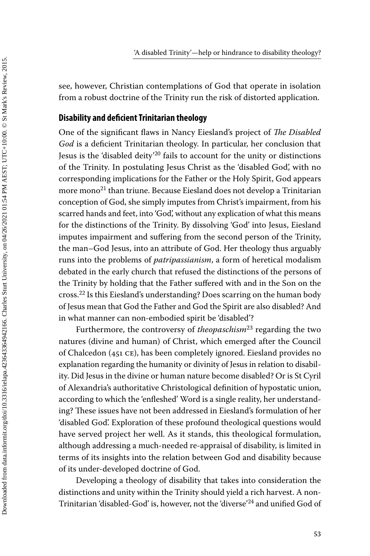see, however, Christian contemplations of God that operate in isolation from a robust doctrine of the Trinity run the risk of distorted application.

## **Disability and deficient Trinitarian theology**

One of the significant flaws in Nancy Eiesland's project of *The Disabled God* is a deficient Trinitarian theology. In particular, her conclusion that Jesus is the 'disabled deity'20 fails to account for the unity or distinctions of the Trinity. In postulating Jesus Christ as the 'disabled God', with no corresponding implications for the Father or the Holy Spirit, God appears more mono<sup>21</sup> than triune. Because Eiesland does not develop a Trinitarian conception of God, she simply imputes from Christ's impairment, from his scarred hands and feet, into 'God', without any explication of what this means for the distinctions of the Trinity. By dissolving 'God' into Jesus, Eiesland imputes impairment and suffering from the second person of the Trinity, the man–God Jesus, into an attribute of God. Her theology thus arguably runs into the problems of *patripassianism*, a form of heretical modalism debated in the early church that refused the distinctions of the persons of the Trinity by holding that the Father suffered with and in the Son on the cross.22 Is this Eiesland's understanding? Does scarring on the human body of Jesus mean that God the Father and God the Spirit are also disabled? And in what manner can non-embodied spirit be 'disabled'?

Furthermore, the controversy of *theopaschism*23 regarding the two natures (divine and human) of Christ, which emerged after the Council of Chalcedon (451 CE), has been completely ignored. Eiesland provides no explanation regarding the humanity or divinity of Jesus in relation to disability. Did Jesus in the divine or human nature become disabled? Or is St Cyril of Alexandria's authoritative Christological definition of hypostatic union, according to which the 'enfleshed' Word is a single reality, her understanding? These issues have not been addressed in Eiesland's formulation of her 'disabled God'. Exploration of these profound theological questions would have served project her well. As it stands, this theological formulation, although addressing a much-needed re-appraisal of disability, is limited in terms of its insights into the relation between God and disability because of its under-developed doctrine of God.

Developing a theology of disability that takes into consideration the distinctions and unity within the Trinity should yield a rich harvest. A non-Trinitarian 'disabled-God' is, however, not the 'diverse'24 and unified God of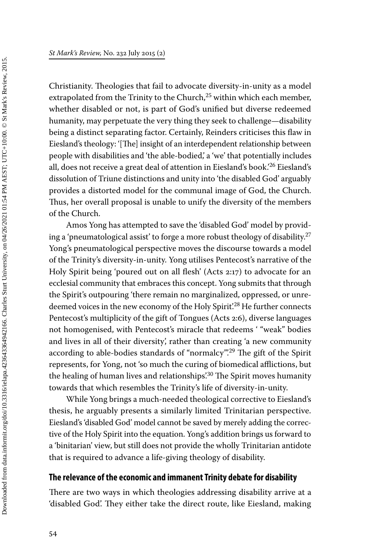Christianity. Theologies that fail to advocate diversity-in-unity as a model extrapolated from the Trinity to the Church, $25$  within which each member, whether disabled or not, is part of God's unified but diverse redeemed humanity, may perpetuate the very thing they seek to challenge—disability being a distinct separating factor. Certainly, Reinders criticises this flaw in Eiesland's theology: '[The] insight of an interdependent relationship between people with disabilities and 'the able-bodied,' a 'we' that potentially includes all, does not receive a great deal of attention in Eiesland's book.<sup>26</sup> Eiesland's dissolution of Triune distinctions and unity into 'the disabled God' arguably provides a distorted model for the communal image of God, the Church. Thus, her overall proposal is unable to unify the diversity of the members of the Church.

Amos Yong has attempted to save the 'disabled God' model by providing a 'pneumatological assist' to forge a more robust theology of disability.27 Yong's pneumatological perspective moves the discourse towards a model of the Trinity's diversity-in-unity. Yong utilises Pentecost's narrative of the Holy Spirit being 'poured out on all flesh' (Acts 2:17) to advocate for an ecclesial community that embraces this concept. Yong submits that through the Spirit's outpouring 'there remain no marginalized, oppressed, or unredeemed voices in the new economy of the Holy Spirit.<sup>28</sup> He further connects Pentecost's multiplicity of the gift of Tongues (Acts 2:6), diverse languages not homogenised, with Pentecost's miracle that redeems ' "weak" bodies and lives in all of their diversity', rather than creating 'a new community according to able-bodies standards of "normalcy".<sup>29</sup> The gift of the Spirit represents, for Yong, not 'so much the curing of biomedical afflictions, but the healing of human lives and relationships<sup>'30</sup> The Spirit moves humanity towards that which resembles the Trinity's life of diversity-in-unity.

While Yong brings a much-needed theological corrective to Eiesland's thesis, he arguably presents a similarly limited Trinitarian perspective. Eiesland's 'disabled God' model cannot be saved by merely adding the corrective of the Holy Spirit into the equation. Yong's addition brings us forward to a 'binitarian' view, but still does not provide the wholly Trinitarian antidote that is required to advance a life-giving theology of disability.

### **The relevance of the economic and immanent Trinity debate for disability**

There are two ways in which theologies addressing disability arrive at a 'disabled God'. They either take the direct route, like Eiesland, making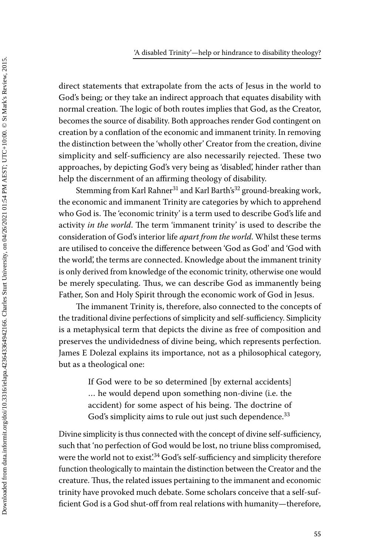direct statements that extrapolate from the acts of Jesus in the world to God's being; or they take an indirect approach that equates disability with normal creation. The logic of both routes implies that God, as the Creator, becomes the source of disability. Both approaches render God contingent on creation by a conflation of the economic and immanent trinity. In removing the distinction between the 'wholly other' Creator from the creation, divine simplicity and self-sufficiency are also necessarily rejected. These two approaches, by depicting God's very being as 'disabled', hinder rather than help the discernment of an affirming theology of disability.

Stemming from Karl Rahner<sup>31</sup> and Karl Barth's<sup>32</sup> ground-breaking work, the economic and immanent Trinity are categories by which to apprehend who God is. The 'economic trinity' is a term used to describe God's life and activity *in the world*. The term 'immanent trinity' is used to describe the consideration of God's interior life *apart from the world*. Whilst these terms are utilised to conceive the difference between 'God as God' and 'God with the world', the terms are connected. Knowledge about the immanent trinity is only derived from knowledge of the economic trinity, otherwise one would be merely speculating. Thus, we can describe God as immanently being Father, Son and Holy Spirit through the economic work of God in Jesus.

The immanent Trinity is, therefore, also connected to the concepts of the traditional divine perfections of simplicity and self-sufficiency. Simplicity is a metaphysical term that depicts the divine as free of composition and preserves the undividedness of divine being, which represents perfection. James E Dolezal explains its importance, not as a philosophical category, but as a theological one:

> If God were to be so determined [by external accidents] … he would depend upon something non-divine (i.e. the accident) for some aspect of his being. The doctrine of God's simplicity aims to rule out just such dependence.<sup>33</sup>

Divine simplicity is thus connected with the concept of divine self-sufficiency, such that 'no perfection of God would be lost, no triune bliss compromised, were the world not to exist.<sup>34</sup> God's self-sufficiency and simplicity therefore function theologically to maintain the distinction between the Creator and the creature. Thus, the related issues pertaining to the immanent and economic trinity have provoked much debate. Some scholars conceive that a self-sufficient God is a God shut-off from real relations with humanity—therefore,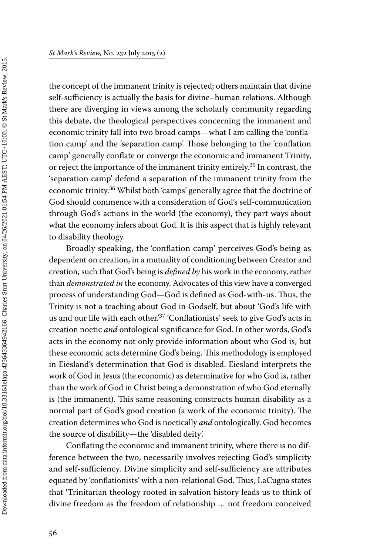the concept of the immanent trinity is rejected; others maintain that divine self-sufficiency is actually the basis for divine–human relations. Although there are diverging in views among the scholarly community regarding this debate, the theological perspectives concerning the immanent and economic trinity fall into two broad camps—what I am calling the 'conflation camp' and the 'separation camp'. Those belonging to the 'conflation camp' generally conflate or converge the economic and immanent Trinity, or reject the importance of the immanent trinity entirely.<sup>35</sup> In contrast, the 'separation camp' defend a separation of the immanent trinity from the economic trinity.<sup>36</sup> Whilst both 'camps' generally agree that the doctrine of God should commence with a consideration of God's self-communication through God's actions in the world (the economy), they part ways about what the economy infers about God. It is this aspect that is highly relevant to disability theology.

Broadly speaking, the 'conflation camp' perceives God's being as dependent on creation, in a mutuality of conditioning between Creator and creation, such that God's being is *defined by* his work in the economy, rather than *demonstrated in* the economy. Advocates of this view have a converged process of understanding God—God is defined as God-with-us. Thus, the Trinity is not a teaching about God in Godself, but about 'God's life with us and our life with each other.<sup>37</sup> 'Conflationists' seek to give God's acts in creation noetic *and* ontological significance for God. In other words, God's acts in the economy not only provide information about who God is, but these economic acts determine God's being. This methodology is employed in Eiesland's determination that God is disabled. Eiesland interprets the work of God in Jesus (the economic) as determinative for who God is, rather than the work of God in Christ being a demonstration of who God eternally is (the immanent). This same reasoning constructs human disability as a normal part of God's good creation (a work of the economic trinity). The creation determines who God is noetically *and* ontologically. God becomes the source of disability—the 'disabled deity'.

Conflating the economic and immanent trinity, where there is no difference between the two, necessarily involves rejecting God's simplicity and self-sufficiency. Divine simplicity and self-sufficiency are attributes equated by 'conflationists' with a non-relational God. Thus, LaCugna states that 'Trinitarian theology rooted in salvation history leads us to think of divine freedom as the freedom of relationship … not freedom conceived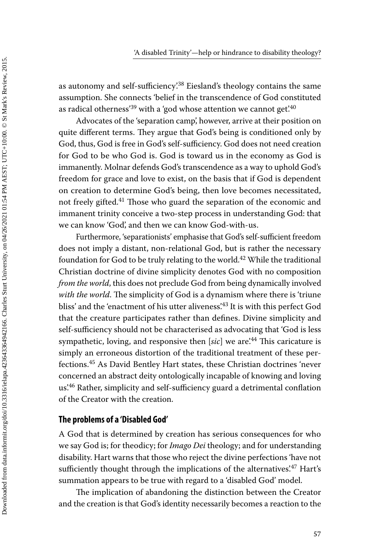as autonomy and self-sufficiency.<sup>38</sup> Eiesland's theology contains the same assumption. She connects 'belief in the transcendence of God constituted as radical otherness<sup>'39</sup> with a 'god whose attention we cannot get<sup>'40</sup>

Advocates of the 'separation camp', however, arrive at their position on quite different terms. They argue that God's being is conditioned only by God, thus, God is free in God's self-sufficiency. God does not need creation for God to be who God is. God is toward us in the economy as God is immanently. Molnar defends God's transcendence as a way to uphold God's freedom for grace and love to exist, on the basis that if God is dependent on creation to determine God's being, then love becomes necessitated, not freely gifted.41 Those who guard the separation of the economic and immanent trinity conceive a two-step process in understanding God: that we can know 'God', and then we can know God-with-us.

Furthermore, 'separationists' emphasise that God's self-sufficient freedom does not imply a distant, non-relational God, but is rather the necessary foundation for God to be truly relating to the world.<sup>42</sup> While the traditional Christian doctrine of divine simplicity denotes God with no composition *from the world*, this does not preclude God from being dynamically involved with the world. The simplicity of God is a dynamism where there is 'triune bliss' and the 'enactment of his utter aliveness'.<sup>43</sup> It is with this perfect God that the creature participates rather than defines. Divine simplicity and self-sufficiency should not be characterised as advocating that 'God is less sympathetic, loving, and responsive then [sic] we are<sup>244</sup> This caricature is simply an erroneous distortion of the traditional treatment of these perfections.45 As David Bentley Hart states, these Christian doctrines 'never concerned an abstract deity ontologically incapable of knowing and loving us'.46 Rather, simplicity and self-sufficiency guard a detrimental conflation of the Creator with the creation.

### **The problems of a 'Disabled God'**

A God that is determined by creation has serious consequences for who we say God is; for theodicy; for *Imago Dei* theology; and for understanding disability. Hart warns that those who reject the divine perfections 'have not sufficiently thought through the implications of the alternatives'.<sup>47</sup> Hart's summation appears to be true with regard to a 'disabled God' model.

The implication of abandoning the distinction between the Creator and the creation is that God's identity necessarily becomes a reaction to the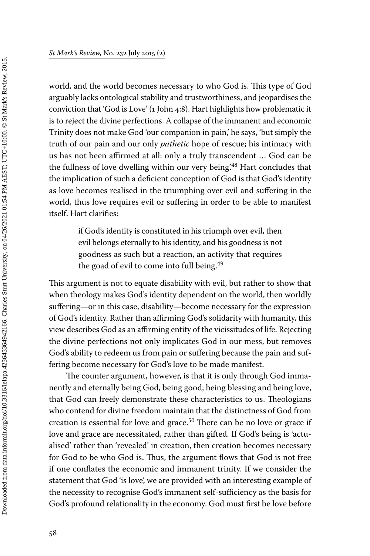world, and the world becomes necessary to who God is. This type of God arguably lacks ontological stability and trustworthiness, and jeopardises the conviction that 'God is Love' (1 John 4:8). Hart highlights how problematic it is to reject the divine perfections. A collapse of the immanent and economic Trinity does not make God 'our companion in pain,' he says, 'but simply the truth of our pain and our only *pathetic* hope of rescue; his intimacy with us has not been affirmed at all: only a truly transcendent … God can be the fullness of love dwelling within our very being.<sup>48</sup> Hart concludes that the implication of such a deficient conception of God is that God's identity as love becomes realised in the triumphing over evil and suffering in the world, thus love requires evil or suffering in order to be able to manifest itself. Hart clarifies:

> if God's identity is constituted in his triumph over evil, then evil belongs eternally to his identity, and his goodness is not goodness as such but a reaction, an activity that requires the goad of evil to come into full being.<sup>49</sup>

This argument is not to equate disability with evil, but rather to show that when theology makes God's identity dependent on the world, then worldly suffering—or in this case, disability—become necessary for the expression of God's identity. Rather than affirming God's solidarity with humanity, this view describes God as an affirming entity of the vicissitudes of life. Rejecting the divine perfections not only implicates God in our mess, but removes God's ability to redeem us from pain or suffering because the pain and suffering become necessary for God's love to be made manifest.

The counter argument, however, is that it is only through God immanently and eternally being God, being good, being blessing and being love, that God can freely demonstrate these characteristics to us. Theologians who contend for divine freedom maintain that the distinctness of God from creation is essential for love and grace.<sup>50</sup> There can be no love or grace if love and grace are necessitated, rather than gifted. If God's being is 'actualised' rather than 'revealed' in creation, then creation becomes necessary for God to be who God is. Thus, the argument flows that God is not free if one conflates the economic and immanent trinity. If we consider the statement that God 'is love', we are provided with an interesting example of the necessity to recognise God's immanent self-sufficiency as the basis for God's profound relationality in the economy. God must first be love before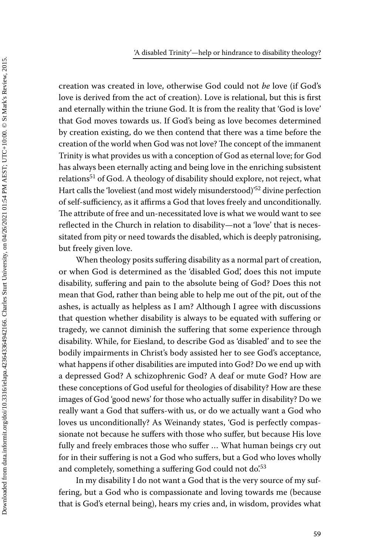creation was created in love, otherwise God could not *be* love (if God's love is derived from the act of creation). Love is relational, but this is first and eternally within the triune God. It is from the reality that 'God is love' that God moves towards us. If God's being as love becomes determined by creation existing, do we then contend that there was a time before the creation of the world when God was not love? The concept of the immanent Trinity is what provides us with a conception of God as eternal love; for God has always been eternally acting and being love in the enriching subsistent relations<sup>51</sup> of God. A theology of disability should explore, not reject, what Hart calls the 'loveliest (and most widely misunderstood)'52 divine perfection of self-sufficiency, as it affirms a God that loves freely and unconditionally. The attribute of free and un-necessitated love is what we would want to see reflected in the Church in relation to disability—not a 'love' that is necessitated from pity or need towards the disabled, which is deeply patronising, but freely given love.

When theology posits suffering disability as a normal part of creation, or when God is determined as the 'disabled God', does this not impute disability, suffering and pain to the absolute being of God? Does this not mean that God, rather than being able to help me out of the pit, out of the ashes, is actually as helpless as I am? Although I agree with discussions that question whether disability is always to be equated with suffering or tragedy, we cannot diminish the suffering that some experience through disability. While, for Eiesland, to describe God as 'disabled' and to see the bodily impairments in Christ's body assisted her to see God's acceptance, what happens if other disabilities are imputed into God? Do we end up with a depressed God? A schizophrenic God? A deaf or mute God? How are these conceptions of God useful for theologies of disability? How are these images of God 'good news' for those who actually suffer in disability? Do we really want a God that suffers-with us, or do we actually want a God who loves us unconditionally? As Weinandy states, 'God is perfectly compassionate not because he suffers with those who suffer, but because His love fully and freely embraces those who suffer … What human beings cry out for in their suffering is not a God who suffers, but a God who loves wholly and completely, something a suffering God could not do.<sup>53</sup>

In my disability I do not want a God that is the very source of my suffering, but a God who is compassionate and loving towards me (because that is God's eternal being), hears my cries and, in wisdom, provides what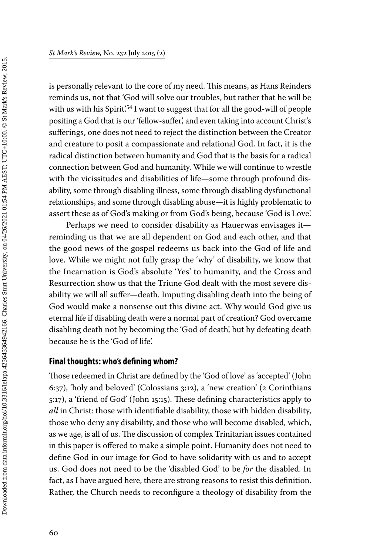is personally relevant to the core of my need. This means, as Hans Reinders reminds us, not that 'God will solve our troubles, but rather that he will be with us with his Spirit<sup>'54</sup> I want to suggest that for all the good-will of people positing a God that is our 'fellow-suffer', and even taking into account Christ's sufferings, one does not need to reject the distinction between the Creator and creature to posit a compassionate and relational God. In fact, it is the radical distinction between humanity and God that is the basis for a radical connection between God and humanity. While we will continue to wrestle with the vicissitudes and disabilities of life—some through profound disability, some through disabling illness, some through disabling dysfunctional relationships, and some through disabling abuse—it is highly problematic to assert these as of God's making or from God's being, because 'God is Love'.

Perhaps we need to consider disability as Hauerwas envisages it reminding us that we are all dependent on God and each other, and that the good news of the gospel redeems us back into the God of life and love. While we might not fully grasp the 'why' of disability, we know that the Incarnation is God's absolute 'Yes' to humanity, and the Cross and Resurrection show us that the Triune God dealt with the most severe disability we will all suffer—death. Imputing disabling death into the being of God would make a nonsense out this divine act. Why would God give us eternal life if disabling death were a normal part of creation? God overcame disabling death not by becoming the 'God of death', but by defeating death because he is the 'God of life'.

#### **Final thoughts: who's defining whom?**

Those redeemed in Christ are defined by the 'God of love' as 'accepted' (John 6:37), 'holy and beloved' (Colossians 3:12), a 'new creation' (2 Corinthians 5:17), a 'friend of God' (John 15:15). These defining characteristics apply to *all* in Christ: those with identifiable disability, those with hidden disability, those who deny any disability, and those who will become disabled, which, as we age, is all of us. The discussion of complex Trinitarian issues contained in this paper is offered to make a simple point. Humanity does not need to define God in our image for God to have solidarity with us and to accept us. God does not need to be the 'disabled God' to be *for* the disabled. In fact, as I have argued here, there are strong reasons to resist this definition. Rather, the Church needs to reconfigure a theology of disability from the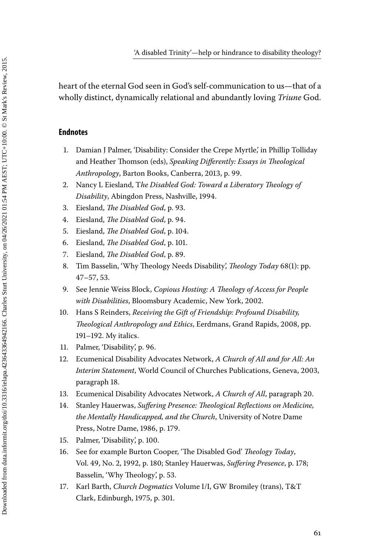heart of the eternal God seen in God's self-communication to us—that of a wholly distinct, dynamically relational and abundantly loving *Triune* God.

#### **Endnotes**

- 1. Damian J Palmer, 'Disability: Consider the Crepe Myrtle,' in Phillip Tolliday and Heather Thomson (eds), *Speaking Differently: Essays in Theological Anthropology*, Barton Books, Canberra, 2013, p. 99.
- 2. Nancy L Eiesland, T*he Disabled God: Toward a Liberatory Theology of Disability*, Abingdon Press, Nashville, 1994.
- 3. Eiesland, *The Disabled God*, p. 93.
- 4. Eiesland, *The Disabled God*, p. 94.
- 5. Eiesland, *The Disabled God*, p. 104.
- 6. Eiesland, *The Disabled God*, p. 101.
- 7. Eiesland, *The Disabled God*, p. 89.
- 8. Tim Basselin, 'Why Theology Needs Disability', *Theology Today* 68(1): pp. 47–57, 53.
- 9. See Jennie Weiss Block, *Copious Hosting: A Theology of Access for People with Disabilities*, Bloomsbury Academic, New York, 2002.
- 10. Hans S Reinders, *Receiving the Gift of Friendship: Profound Disability, Theological Anthropology and Ethics*, Eerdmans, Grand Rapids, 2008, pp. 191–192. My italics.
- 11. Palmer, 'Disability', p. 96.
- 12. Ecumenical Disability Advocates Network, *A Church of All and for All: An Interim Statement*, World Council of Churches Publications, Geneva, 2003, paragraph 18.
- 13. Ecumenical Disability Advocates Network, *A Church of All*, paragraph 20.
- 14. Stanley Hauerwas, *Suffering Presence: Theological Reflections on Medicine, the Mentally Handicapped, and the Church*, University of Notre Dame Press, Notre Dame, 1986, p. 179.
- 15. Palmer, 'Disability', p. 100.
- 16. See for example Burton Cooper, 'The Disabled God' *Theology Today*, Vol. 49, No. 2, 1992, p. 180; Stanley Hauerwas, *Suffering Presence*, p. 178; Basselin, 'Why Theology', p. 53.
- 17. Karl Barth, *Church Dogmatics* Volume I/I, GW Bromiley (trans), T&T Clark, Edinburgh, 1975, p. 301.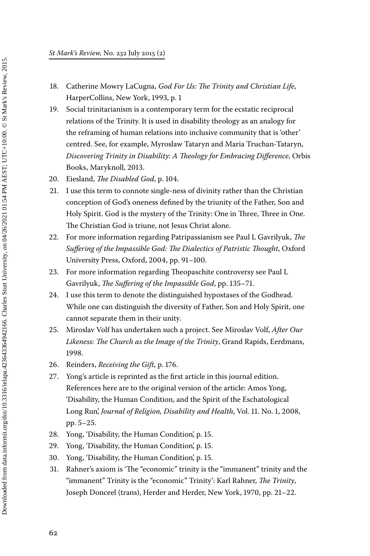- 18. Catherine Mowry LaCugna, *God For Us: The Trinity and Christian Life*, HarperCollins, New York, 1993, p. 1
- 19. Social trinitarianism is a contemporary term for the ecstatic reciprocal relations of the Trinity. It is used in disability theology as an analogy for the reframing of human relations into inclusive community that is 'other' centred. See, for example, Myroslaw Tataryn and Maria Truchan-Tataryn, *Discovering Trinity in Disability: A Theology for Embracing Difference*, Orbis Books, Maryknoll, 2013.
- 20. Eiesland, *The Disabled God*, p. 104.
- 21. I use this term to connote single-ness of divinity rather than the Christian conception of God's oneness defined by the triunity of the Father, Son and Holy Spirit. God is the mystery of the Trinity: One in Three, Three in One. The Christian God is triune, not Jesus Christ alone.
- 22. For more information regarding Patripassianism see Paul L Gavrilyuk, *The Suffering of the Impassible God: The Dialectics of Patristic Thought*, Oxford University Press, Oxford, 2004, pp. 91–100.
- 23. For more information regarding Theopaschite controversy see Paul L Gavrilyuk, *The Suffering of the Impassible God*, pp. 135–71.
- 24. I use this term to denote the distinguished hypostases of the Godhead. While one can distinguish the diversity of Father, Son and Holy Spirit, one cannot separate them in their unity.
- 25. Miroslav Volf has undertaken such a project. See Miroslav Volf, *After Our Likeness: The Church as the Image of the Trinity*, Grand Rapids, Eerdmans, 1998.
- 26. Reinders, *Receiving the Gift*, p. 176.
- 27. Yong's article is reprinted as the first article in this journal edition. References here are to the original version of the article: Amos Yong, 'Disability, the Human Condition, and the Spirit of the Eschatological Long Run', *Journal of Religion, Disability and Health*, Vol. 11. No. 1, 2008, pp. 5–25.
- 28. Yong, 'Disability, the Human Condition', p. 15.
- 29. Yong, 'Disability, the Human Condition', p. 15.
- 30. Yong, 'Disability, the Human Condition', p. 15.
- 31. Rahner's axiom is 'The "economic" trinity is the "immanent" trinity and the "immanent" Trinity is the "economic" Trinity': Karl Rahner, *The Trinity*, Joseph Donceel (trans), Herder and Herder, New York, 1970, pp. 21–22.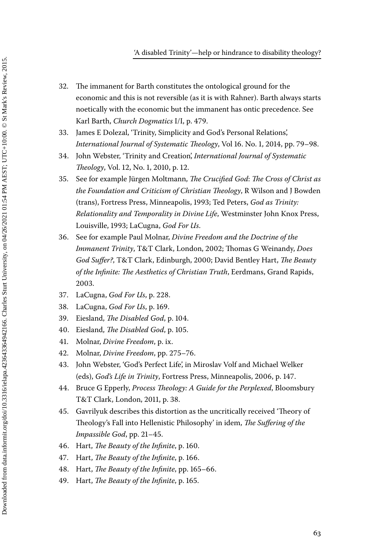- 32. The immanent for Barth constitutes the ontological ground for the economic and this is not reversible (as it is with Rahner). Barth always starts noetically with the economic but the immanent has ontic precedence. See Karl Barth, *Church Dogmatics* I/I, p. 479.
- 33. James E Dolezal, 'Trinity, Simplicity and God's Personal Relations', *International Journal of Systematic Theology*, Vol 16. No. 1, 2014, pp. 79–98.
- 34. John Webster, 'Trinity and Creation', *International Journal of Systematic Theology*, Vol. 12, No. 1, 2010, p. 12.
- 35. See for example Jürgen Moltmann, *The Crucified God*: *The Cross of Christ as the Foundation and Criticism of Christian Theology*, R Wilson and J Bowden (trans), Fortress Press, Minneapolis, 1993; Ted Peters, *God as Trinity: Relationality and Temporality in Divine Life*, Westminster John Knox Press, Louisville, 1993; LaCugna, *God For Us*.
- 36. See for example Paul Molnar, *Divine Freedom and the Doctrine of the Immanent Trinity*, T&T Clark, London, 2002; Thomas G Weinandy, *Does God Suffer?*, T&T Clark, Edinburgh, 2000; David Bentley Hart, *The Beauty of the Infinite: The Aesthetics of Christian Truth*, Eerdmans, Grand Rapids, 2003.
- 37. LaCugna, *God For Us*, p. 228.
- 38. LaCugna, *God For Us*, p. 169.
- 39. Eiesland, *The Disabled God*, p. 104.
- 40. Eiesland, *The Disabled God*, p. 105.
- 41. Molnar, *Divine Freedom*, p. ix.
- 42. Molnar, *Divine Freedom*, pp. 275–76.
- 43. John Webster, 'God's Perfect Life', in Miroslav Volf and Michael Welker (eds), *God's Life in Trinity*, Fortress Press, Minneapolis, 2006, p. 147.
- 44. Bruce G Epperly, *Process Theology: A Guide for the Perplexed*, Bloomsbury T&T Clark, London, 2011, p. 38.
- 45. Gavrilyuk describes this distortion as the uncritically received 'Theory of Theology's Fall into Hellenistic Philosophy' in idem, *The Suffering of the Impassible God*, pp. 21–45.
- 46. Hart, *The Beauty of the Infinite*, p. 160.
- 47. Hart, *The Beauty of the Infinite*, p. 166.
- 48. Hart, *The Beauty of the Infinite*, pp. 165–66.
- 49. Hart, *The Beauty of the Infinite*, p. 165.